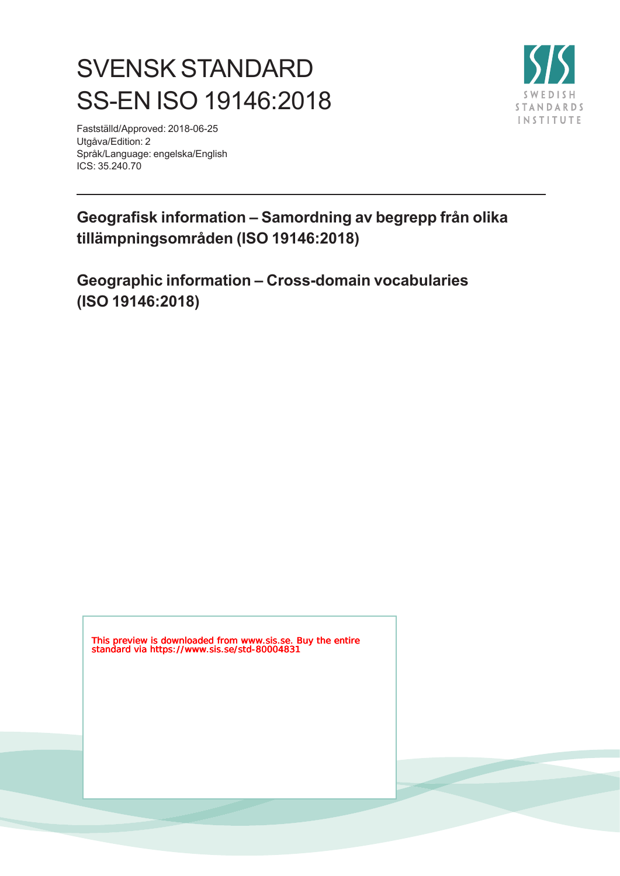# SVENSK STANDARD SS-EN ISO 19146:2018



Fastställd/Approved: 2018-06-25 Utgåva/Edition: 2 Språk/Language: engelska/English ICS: 35.240.70

## **Geografisk information – Samordning av begrepp från olika tillämpningsområden (ISO 19146:2018)**

**Geographic information – Cross-domain vocabularies (ISO 19146:2018)**

This preview is downloaded from www.sis.se. Buy the entire standard via https://www.sis.se/std-80004831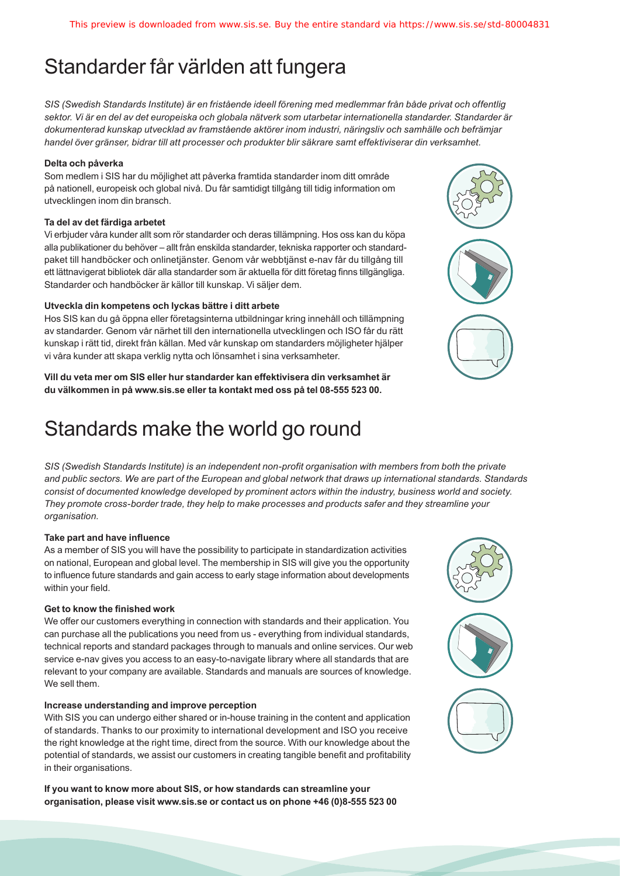## Standarder får världen att fungera

*SIS (Swedish Standards Institute) är en fristående ideell förening med medlemmar från både privat och offentlig sektor. Vi är en del av det europeiska och globala nätverk som utarbetar internationella standarder. Standarder är dokumenterad kunskap utvecklad av framstående aktörer inom industri, näringsliv och samhälle och befrämjar handel över gränser, bidrar till att processer och produkter blir säkrare samt effektiviserar din verksamhet.* 

#### **Delta och påverka**

Som medlem i SIS har du möjlighet att påverka framtida standarder inom ditt område på nationell, europeisk och global nivå. Du får samtidigt tillgång till tidig information om utvecklingen inom din bransch.

#### **Ta del av det färdiga arbetet**

Vi erbjuder våra kunder allt som rör standarder och deras tillämpning. Hos oss kan du köpa alla publikationer du behöver – allt från enskilda standarder, tekniska rapporter och standardpaket till handböcker och onlinetjänster. Genom vår webbtjänst e-nav får du tillgång till ett lättnavigerat bibliotek där alla standarder som är aktuella för ditt företag finns tillgängliga. Standarder och handböcker är källor till kunskap. Vi säljer dem.

#### **Utveckla din kompetens och lyckas bättre i ditt arbete**

Hos SIS kan du gå öppna eller företagsinterna utbildningar kring innehåll och tillämpning av standarder. Genom vår närhet till den internationella utvecklingen och ISO får du rätt kunskap i rätt tid, direkt från källan. Med vår kunskap om standarders möjligheter hjälper vi våra kunder att skapa verklig nytta och lönsamhet i sina verksamheter.

**Vill du veta mer om SIS eller hur standarder kan effektivisera din verksamhet är du välkommen in på www.sis.se eller ta kontakt med oss på tel 08-555 523 00.**

## Standards make the world go round

*SIS (Swedish Standards Institute) is an independent non-profit organisation with members from both the private and public sectors. We are part of the European and global network that draws up international standards. Standards consist of documented knowledge developed by prominent actors within the industry, business world and society. They promote cross-border trade, they help to make processes and products safer and they streamline your organisation.*

#### **Take part and have influence**

As a member of SIS you will have the possibility to participate in standardization activities on national, European and global level. The membership in SIS will give you the opportunity to influence future standards and gain access to early stage information about developments within your field.

#### **Get to know the finished work**

We offer our customers everything in connection with standards and their application. You can purchase all the publications you need from us - everything from individual standards, technical reports and standard packages through to manuals and online services. Our web service e-nav gives you access to an easy-to-navigate library where all standards that are relevant to your company are available. Standards and manuals are sources of knowledge. We sell them.

#### **Increase understanding and improve perception**

With SIS you can undergo either shared or in-house training in the content and application of standards. Thanks to our proximity to international development and ISO you receive the right knowledge at the right time, direct from the source. With our knowledge about the potential of standards, we assist our customers in creating tangible benefit and profitability in their organisations.

**If you want to know more about SIS, or how standards can streamline your organisation, please visit www.sis.se or contact us on phone +46 (0)8-555 523 00**



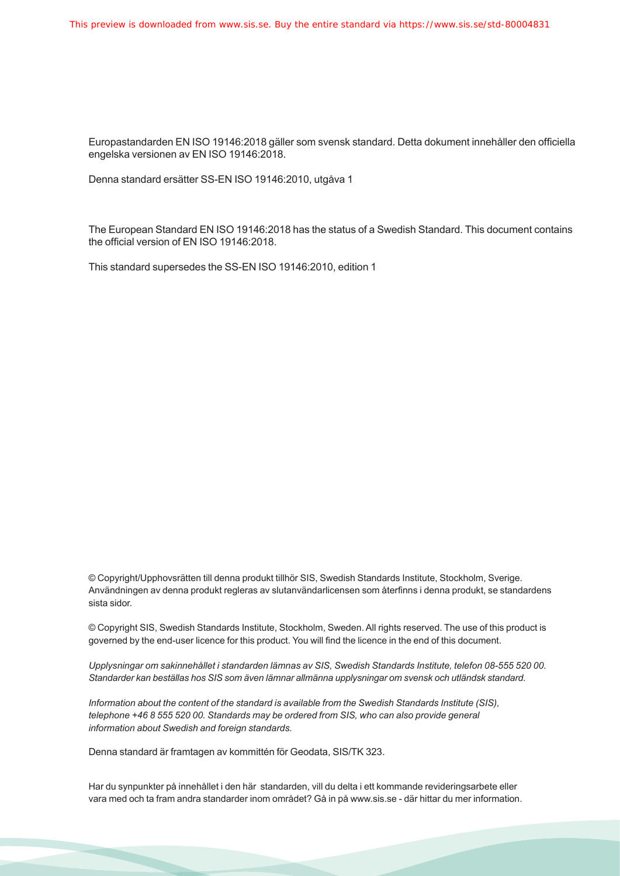Europastandarden EN ISO 19146:2018 gäller som svensk standard. Detta dokument innehåller den officiella engelska versionen av EN ISO 19146:2018.

Denna standard ersätter SS-EN ISO 19146:2010, utgåva 1

The European Standard EN ISO 19146:2018 has the status of a Swedish Standard. This document contains the official version of EN ISO 19146:2018.

This standard supersedes the SS-EN ISO 19146:2010, edition 1

© Copyright/Upphovsrätten till denna produkt tillhör SIS, Swedish Standards Institute, Stockholm, Sverige. Användningen av denna produkt regleras av slutanvändarlicensen som återfinns i denna produkt, se standardens sista sidor.

© Copyright SIS, Swedish Standards Institute, Stockholm, Sweden. All rights reserved. The use of this product is governed by the end-user licence for this product. You will find the licence in the end of this document.

*Upplysningar om sakinnehållet i standarden lämnas av SIS, Swedish Standards Institute, telefon 08-555 520 00. Standarder kan beställas hos SIS som även lämnar allmänna upplysningar om svensk och utländsk standard.*

*Information about the content of the standard is available from the Swedish Standards Institute (SIS), telephone +46 8 555 520 00. Standards may be ordered from SIS, who can also provide general information about Swedish and foreign standards.*

Denna standard är framtagen av kommittén för Geodata, SIS/TK 323.

Har du synpunkter på innehållet i den här standarden, vill du delta i ett kommande revideringsarbete eller vara med och ta fram andra standarder inom området? Gå in på www.sis.se - där hittar du mer information.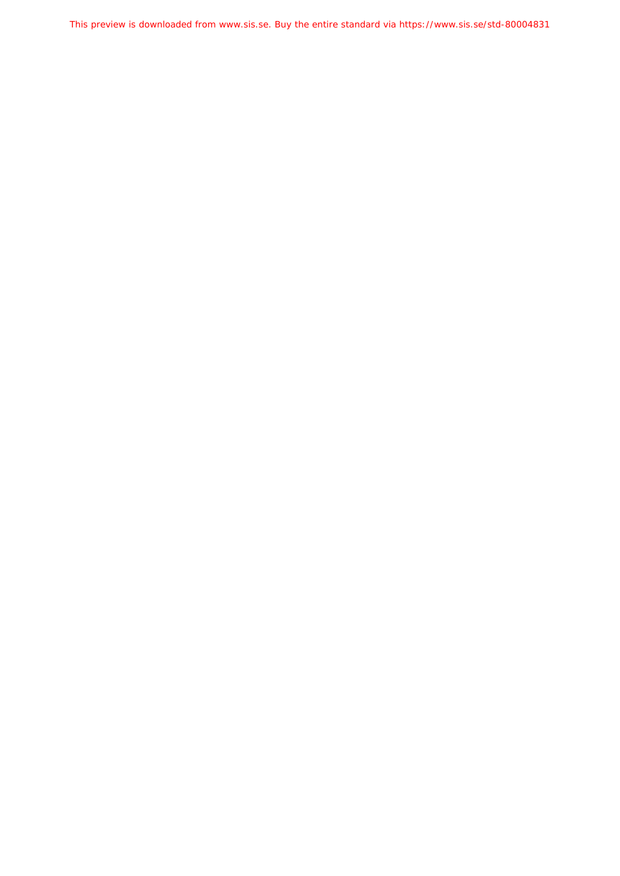This preview is downloaded from www.sis.se. Buy the entire standard via https://www.sis.se/std-80004831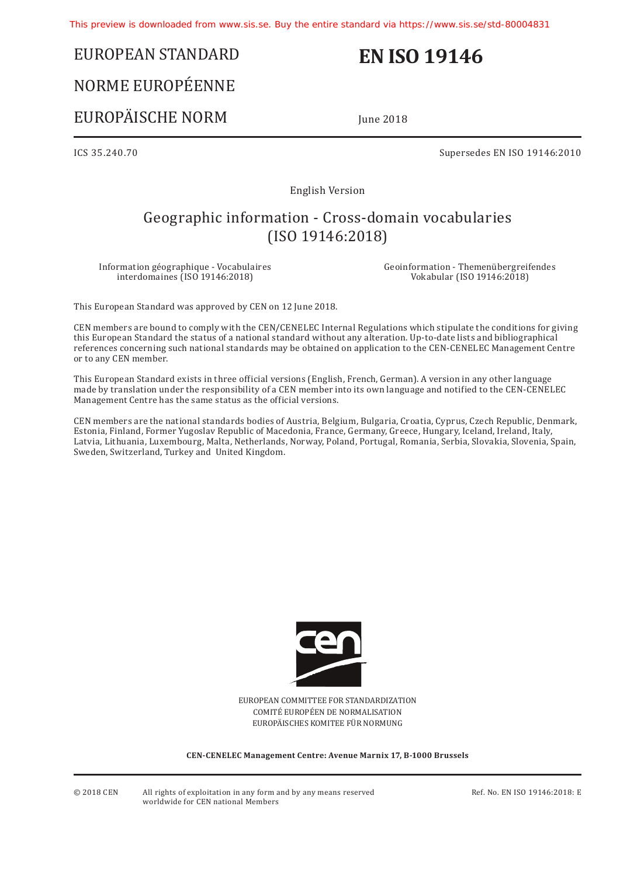### EUROPEAN STANDARD

## **EN ISO 19146**

## NORME EUROPÉENNE

## EUROPÄISCHE NORM

June 2018

ICS 35.240.70 Supersedes EN ISO 19146:2010

English Version

### Geographic information - Cross-domain vocabularies (ISO 19146:2018)

Information géographique - Vocabulaires interdomaines (ISO 19146:2018)

Geoinformation - Themenübergreifendes Vokabular (ISO 19146:2018)

This European Standard was approved by CEN on 12 June 2018.

CEN members are bound to comply with the CEN/CENELEC Internal Regulations which stipulate the conditions for giving this European Standard the status of a national standard without any alteration. Up-to-date lists and bibliographical references concerning such national standards may be obtained on application to the CEN-CENELEC Management Centre or to any CEN member.

This European Standard exists in three official versions (English, French, German). A version in any other language made by translation under the responsibility of a CEN member into its own language and notified to the CEN-CENELEC Management Centre has the same status as the official versions.

CEN members are the national standards bodies of Austria, Belgium, Bulgaria, Croatia, Cyprus, Czech Republic, Denmark, Estonia, Finland, Former Yugoslav Republic of Macedonia, France, Germany, Greece, Hungary, Iceland, Ireland, Italy, Latvia, Lithuania, Luxembourg, Malta, Netherlands, Norway, Poland, Portugal, Romania, Serbia, Slovakia, Slovenia, Spain, Sweden, Switzerland, Turkey and United Kingdom.



EUROPEAN COMMITTEE FOR STANDARDIZATION COMITÉ EUROPÉEN DE NORMALISATION EUROPÄISCHES KOMITEE FÜR NORMUNG

**CEN-CENELEC Management Centre: Avenue Marnix 17, B-1000 Brussels**

© 2018 CEN All rights of exploitation in any form and by any means reserved Ref. No. EN ISO 19146:2018: E worldwide for CEN national Members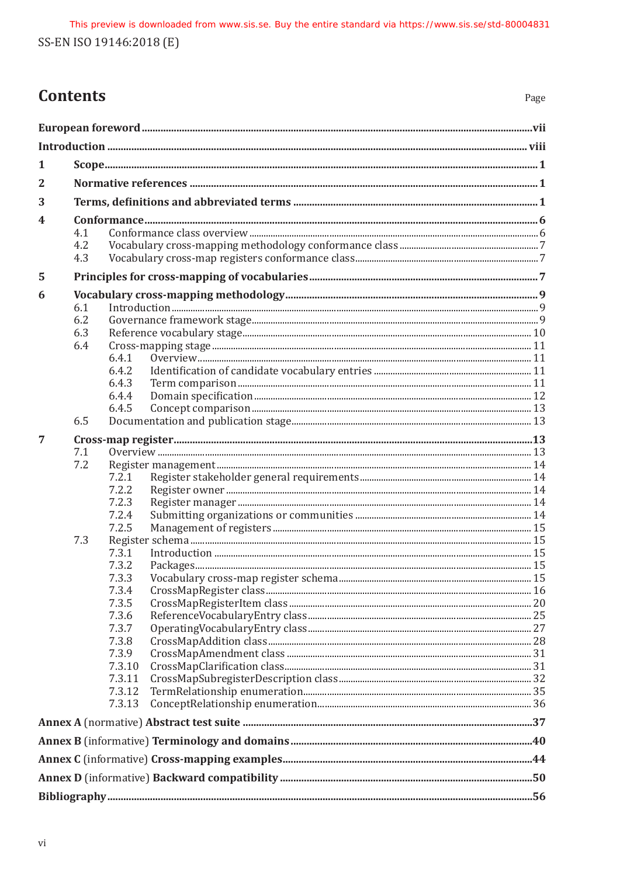## **Contents**

| 1                |            |                |  |  |
|------------------|------------|----------------|--|--|
| $\overline{2}$   |            |                |  |  |
| 3                |            |                |  |  |
| $\boldsymbol{4}$ |            |                |  |  |
|                  | 4.1        |                |  |  |
|                  | 4.2        |                |  |  |
|                  | 4.3        |                |  |  |
| 5                |            |                |  |  |
| 6                |            |                |  |  |
|                  | 6.1        |                |  |  |
|                  | 6.2        |                |  |  |
|                  | 6.3        |                |  |  |
|                  | 6.4        |                |  |  |
|                  |            | 6.4.1          |  |  |
|                  |            | 6.4.2          |  |  |
|                  |            | 6.4.3<br>6.4.4 |  |  |
|                  |            | 6.4.5          |  |  |
|                  | 6.5        |                |  |  |
|                  |            |                |  |  |
| $\overline{7}$   |            |                |  |  |
|                  | 7.1<br>7.2 |                |  |  |
|                  |            | 7.2.1          |  |  |
|                  |            | 7.2.2          |  |  |
|                  |            | 7.2.3          |  |  |
|                  |            | 7.2.4          |  |  |
|                  |            | 7.2.5          |  |  |
|                  | 7.3        |                |  |  |
|                  |            | 7.3.1          |  |  |
|                  |            | 7.3.2          |  |  |
|                  |            | 7.3.3          |  |  |
|                  |            | 7.3.4          |  |  |
|                  |            | 7.3.5          |  |  |
|                  |            | 7.3.6          |  |  |
|                  |            | 7.3.7<br>7.3.8 |  |  |
|                  |            | 7.3.9          |  |  |
|                  |            | 7.3.10         |  |  |
|                  |            | 7.3.11         |  |  |
|                  |            | 7.3.12         |  |  |
|                  |            | 7.3.13         |  |  |
|                  |            |                |  |  |
|                  |            |                |  |  |
|                  |            |                |  |  |
|                  |            |                |  |  |
|                  |            |                |  |  |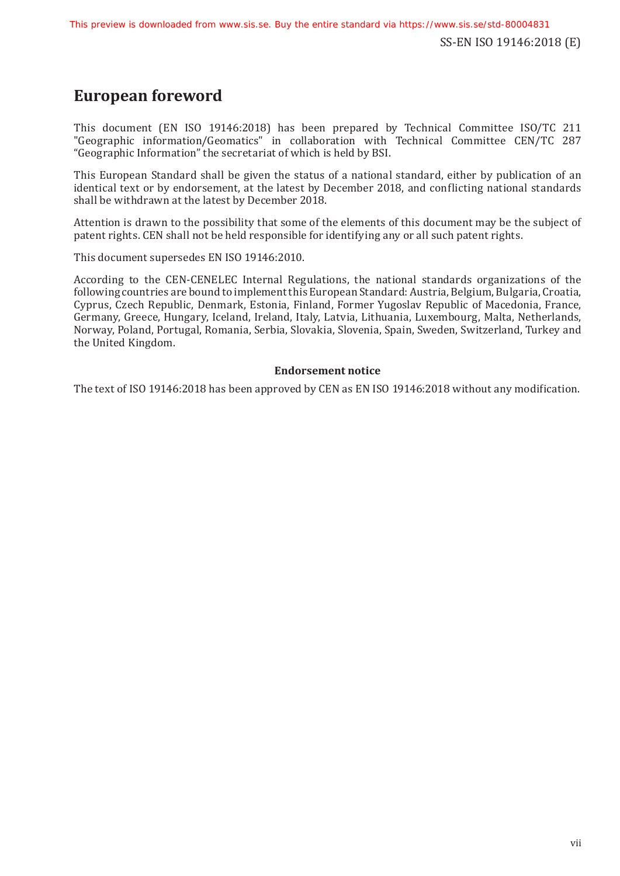## **European foreword**

This document (EN ISO 19146:2018) has been prepared by Technical Committee ISO/TC 211 "Geographic information/Geomatics" in collaboration with Technical Committee CEN/TC 287 "Geographic Information" the secretariat of which is held by BSI.

This European Standard shall be given the status of a national standard, either by publication of an identical text or by endorsement, at the latest by December 2018, and conflicting national standards shall be withdrawn at the latest by December 2018.

Attention is drawn to the possibility that some of the elements of this document may be the subject of patent rights. CEN shall not be held responsible for identifying any or all such patent rights.

This document supersedes EN ISO 19146:2010.

According to the CEN-CENELEC Internal Regulations, the national standards organizations of the following countries are bound to implement this European Standard: Austria, Belgium, Bulgaria, Croatia, Cyprus, Czech Republic, Denmark, Estonia, Finland, Former Yugoslav Republic of Macedonia, France, Germany, Greece, Hungary, Iceland, Ireland, Italy, Latvia, Lithuania, Luxembourg, Malta, Netherlands, Norway, Poland, Portugal, Romania, Serbia, Slovakia, Slovenia, Spain, Sweden, Switzerland, Turkey and the United Kingdom.

#### **Endorsement notice**

The text of ISO 19146:2018 has been approved by CEN as EN ISO 19146:2018 without any modification.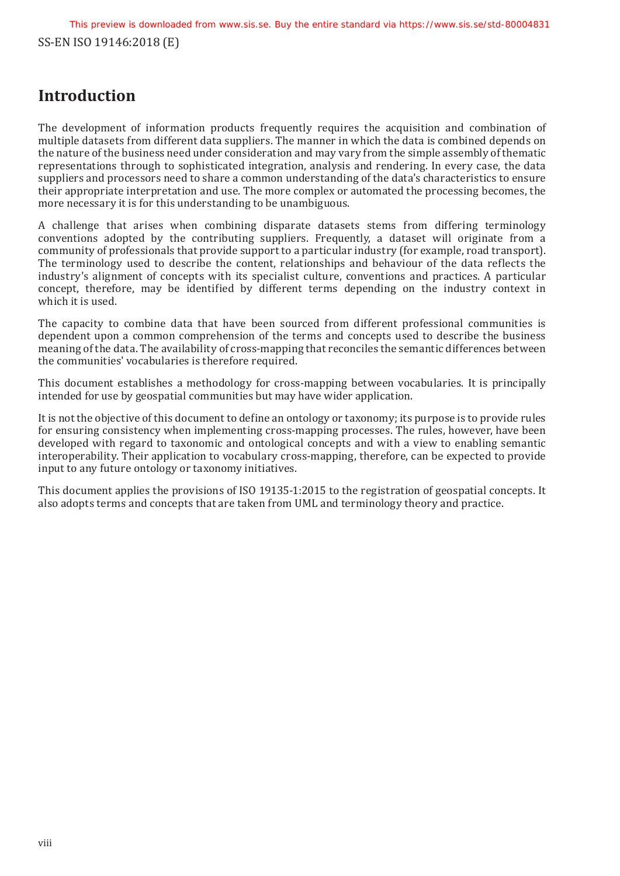## **Introduction**

The development of information products frequently requires the acquisition and combination of multiple datasets from different data suppliers. The manner in which the data is combined depends on the nature of the business need under consideration and may vary from the simple assembly of thematic representations through to sophisticated integration, analysis and rendering. In every case, the data suppliers and processors need to share a common understanding of the data's characteristics to ensure their appropriate interpretation and use. The more complex or automated the processing becomes, the more necessary it is for this understanding to be unambiguous.

A challenge that arises when combining disparate datasets stems from differing terminology conventions adopted by the contributing suppliers. Frequently, a dataset will originate from a community of professionals that provide support to a particular industry (for example, road transport). The terminology used to describe the content, relationships and behaviour of the data reflects the industry's alignment of concepts with its specialist culture, conventions and practices. A particular concept, therefore, may be identified by different terms depending on the industry context in which it is used.

The capacity to combine data that have been sourced from different professional communities is dependent upon a common comprehension of the terms and concepts used to describe the business meaning of the data. The availability of cross-mapping that reconciles the semantic differences between the communities' vocabularies is therefore required.

This document establishes a methodology for cross-mapping between vocabularies. It is principally intended for use by geospatial communities but may have wider application.

It is not the objective of this document to define an ontology or taxonomy; its purpose is to provide rules for ensuring consistency when implementing cross-mapping processes. The rules, however, have been developed with regard to taxonomic and ontological concepts and with a view to enabling semantic interoperability. Their application to vocabulary cross-mapping, therefore, can be expected to provide input to any future ontology or taxonomy initiatives.

This document applies the provisions of ISO 19135-1:2015 to the registration of geospatial concepts. It also adopts terms and concepts that are taken from UML and terminology theory and practice.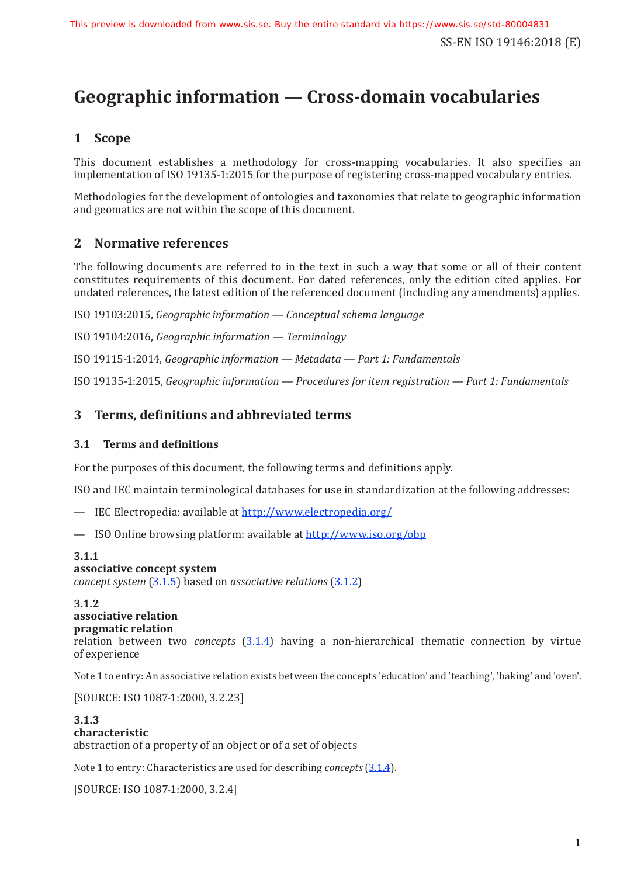## **Geographic information — Cross-domain vocabularies**

### **1 Scope**

This document establishes a methodology for cross-mapping vocabularies. It also specifies an implementation of ISO 19135-1:2015 for the purpose of registering cross-mapped vocabulary entries.

Methodologies for the development of ontologies and taxonomies that relate to geographic information and geomatics are not within the scope of this document.

#### **2 Normative references**

The following documents are referred to in the text in such a way that some or all of their content constitutes requirements of this document. For dated references, only the edition cited applies. For undated references, the latest edition of the referenced document (including any amendments) applies.

ISO 19103:2015, *Geographic information — Conceptual schema language*

ISO 19104:2016, *Geographic information — Terminology*

ISO 19115-1:2014, *Geographic information — Metadata — Part 1: Fundamentals*

ISO 19135-1:2015, *Geographic information — Procedures for item registration — Part 1: Fundamentals*

#### **3 Terms, definitions and abbreviated terms**

#### **3.1 Terms and definitions**

For the purposes of this document, the following terms and definitions apply.

ISO and IEC maintain terminological databases for use in standardization at the following addresses:

— IEC Electropedia: available at<http://www.electropedia.org/>

— ISO Online browsing platform: available at <http://www.iso.org/obp>

#### **3.1.1**

#### **associative concept system**

*concept system* (3.1.5) based on *associative relations* (3.1.2)

#### **3.1.2**

#### **associative relation**

**pragmatic relation**

relation between two *concepts* (3.1.4) having a non-hierarchical thematic connection by virtue of experience

Note 1 to entry: An associative relation exists between the concepts 'education' and 'teaching', 'baking' and 'oven'.

[SOURCE: ISO 1087-1:2000, 3.2.23]

#### **3.1.3 characteristic**

abstraction of a property of an object or of a set of objects

Note 1 to entry: Characteristics are used for describing *concepts* (3.1.4).

[SOURCE: ISO 1087-1:2000, 3.2.4]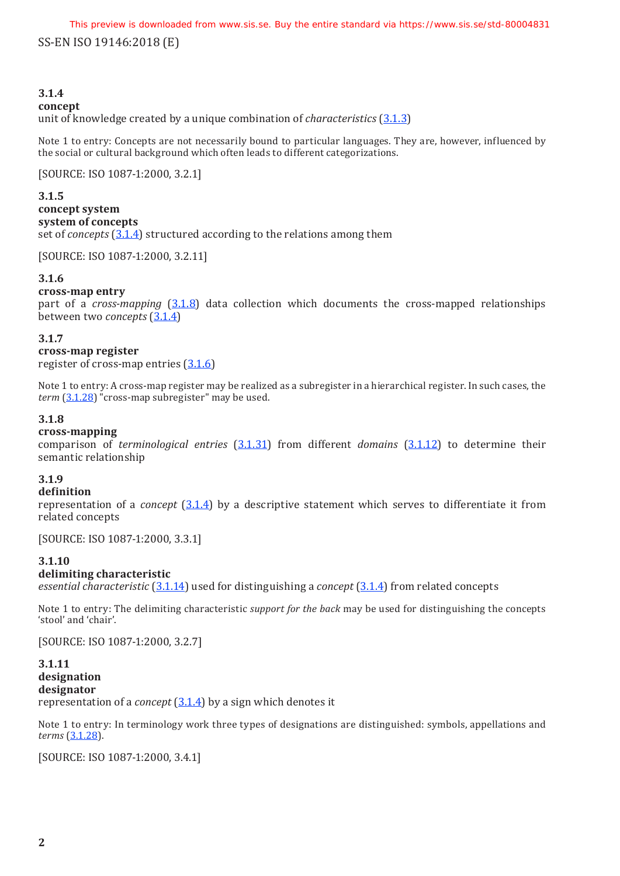This preview is downloaded from www.sis.se. Buy the entire standard via https://www.sis.se/std-80004831

SS-EN ISO 19146:2018 (E)

#### **3.1.4**

#### **concept**

unit of knowledge created by a unique combination of *characteristics* (3.1.3)

Note 1 to entry: Concepts are not necessarily bound to particular languages. They are, however, influenced by the social or cultural background which often leads to different categorizations.

[SOURCE: ISO 1087-1:2000, 3.2.1]

#### **3.1.5**

#### **concept system**

**system of concepts** set of *concepts* (3.1.4) structured according to the relations among them

[SOURCE: ISO 1087-1:2000, 3.2.11]

#### **3.1.6**

#### **cross-map entry**

part of a *cross-mapping* (3.1.8) data collection which documents the cross-mapped relationships between two *concepts* (3.1.4)

#### **3.1.7**

#### **cross-map register**

register of cross-map entries (3.1.6)

Note 1 to entry: A cross-map register may be realized as a subregister in a hierarchical register. In such cases, the *term* (3.1.28) "cross-map subregister" may be used.

#### **3.1.8**

#### **cross-mapping**

comparison of *terminological entries* (3.1.31) from different *domains* (3.1.12) to determine their semantic relationship

#### **3.1.9**

#### **definition**

representation of a *concept* (3.1.4) by a descriptive statement which serves to differentiate it from related concepts

[SOURCE: ISO 1087-1:2000, 3.3.1]

#### **3.1.10**

#### **delimiting characteristic**

*essential characteristic* (3.1.14) used for distinguishing a *concept* (3.1.4) from related concepts

Note 1 to entry: The delimiting characteristic *support for the back* may be used for distinguishing the concepts 'stool' and 'chair'.

[SOURCE: ISO 1087-1:2000, 3.2.7]

**3.1.11 designation designator** representation of a *concept* (3.1.4) by a sign which denotes it

Note 1 to entry: In terminology work three types of designations are distinguished: symbols, appellations and *terms* (3.1.28).

[SOURCE: ISO 1087-1:2000, 3.4.1]